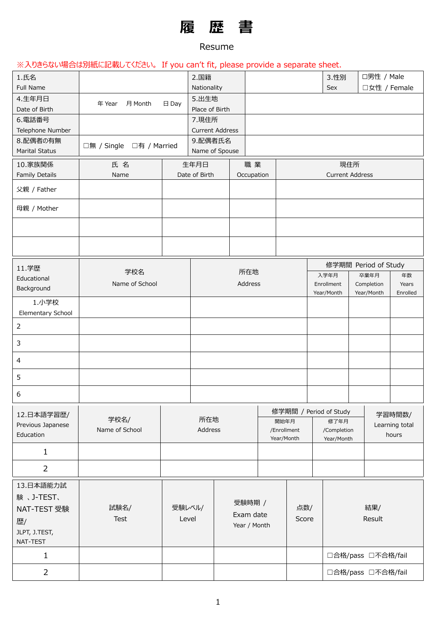# **履 歴 書**

#### Resume

## ※入りきらない場合は別紙に記載してください。 If you can't fit, please provide a separate sheet.

| 1.氏名<br>Full Name          |                          |                 | 2.国籍<br>Nationality |                        |            |              |                           | 3.性別<br>Sex               |     | □男性 / Male<br>□女性 / Female |                |
|----------------------------|--------------------------|-----------------|---------------------|------------------------|------------|--------------|---------------------------|---------------------------|-----|----------------------------|----------------|
| 4.生年月日                     | 年 Year<br>月 Month        | $\boxminus$ Day | 5.出生地               |                        |            |              |                           |                           |     |                            |                |
| Date of Birth              |                          |                 | Place of Birth      |                        |            |              |                           |                           |     |                            |                |
| 6.電話番号                     |                          |                 | 7.現住所               |                        |            |              |                           |                           |     |                            |                |
| Telephone Number           |                          |                 |                     | <b>Current Address</b> |            |              |                           |                           |     |                            |                |
| 8.配偶者の有無                   | □無 / Single □有 / Married |                 | 9.配偶者氏名             |                        |            |              |                           |                           |     |                            |                |
| <b>Marital Status</b>      |                          |                 |                     | Name of Spouse         |            |              |                           |                           |     |                            |                |
| 10.家族関係                    | 氏名                       |                 | 生年月日                |                        | 職業         |              |                           |                           | 現住所 |                            |                |
| Family Details             | Name                     |                 | Date of Birth       |                        | Occupation |              |                           | <b>Current Address</b>    |     |                            |                |
| 父親 / Father                |                          |                 |                     |                        |            |              |                           |                           |     |                            |                |
| 母親 / Mother                |                          |                 |                     |                        |            |              |                           |                           |     |                            |                |
|                            |                          |                 |                     |                        |            |              |                           |                           |     |                            |                |
|                            |                          |                 |                     |                        |            |              |                           |                           |     |                            |                |
| 11.学歴                      |                          |                 |                     |                        |            |              |                           |                           |     | 修学期間 Period of Study       |                |
| Educational                | 学校名                      |                 |                     |                        | 所在地        |              |                           | 入学年月                      |     | 卒業年月                       | 年数             |
| Background                 | Name of School           |                 |                     |                        | Address    |              |                           | Enrollment                |     | Completion                 | Years          |
|                            |                          |                 |                     |                        |            |              |                           | Year/Month                |     | Year/Month                 | Enrolled       |
| 1.小学校<br>Elementary School |                          |                 |                     |                        |            |              |                           |                           |     |                            |                |
| $\overline{2}$             |                          |                 |                     |                        |            |              |                           |                           |     |                            |                |
| 3                          |                          |                 |                     |                        |            |              |                           |                           |     |                            |                |
| $\overline{4}$             |                          |                 |                     |                        |            |              |                           |                           |     |                            |                |
| 5                          |                          |                 |                     |                        |            |              |                           |                           |     |                            |                |
| 6                          |                          |                 |                     |                        |            |              |                           |                           |     |                            |                |
| 12.日本語学習歴/                 |                          |                 |                     |                        |            |              | 修学期間 / Period of Study    |                           |     |                            | 学習時間数/         |
| Previous Japanese          | 学校名/                     |                 | 所在地                 |                        |            |              | 開始年月                      | 修了年月                      |     |                            | Learning total |
| Education                  | Name of School           |                 | Address             |                        |            |              | /Enrollment<br>Year/Month | /Completion<br>Year/Month |     |                            | hours          |
| $\mathbf{1}$               |                          |                 |                     |                        |            |              |                           |                           |     |                            |                |
| $\overline{2}$             |                          |                 |                     |                        |            |              |                           |                           |     |                            |                |
| 13.日本語能力試                  |                          |                 |                     |                        |            |              |                           |                           |     |                            |                |
| 験、J-TEST、                  |                          |                 |                     |                        |            |              |                           |                           |     |                            |                |
| NAT-TEST 受験                | 試験名/                     | 受験レベル/          |                     | 受験時期 /                 |            |              | 点数/                       |                           |     | 結果/                        |                |
| 歴/                         | <b>Test</b>              | Level           |                     | Exam date              |            |              | Score                     |                           |     | Result                     |                |
| JLPT, J.TEST,              |                          |                 |                     |                        |            | Year / Month |                           |                           |     |                            |                |
| NAT-TEST                   |                          |                 |                     |                        |            |              |                           |                           |     |                            |                |
| $\mathbf{1}$               |                          |                 |                     |                        |            |              |                           |                           |     | □合格/pass □不合格/fail         |                |
| $\overline{2}$             |                          |                 |                     |                        |            |              |                           |                           |     | □合格/pass □不合格/fail         |                |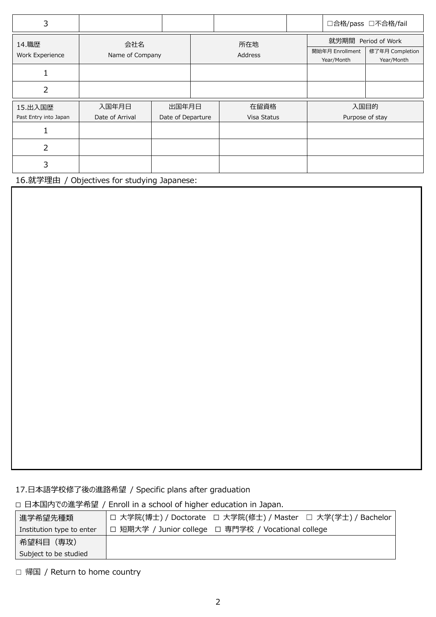| 3                     |                 |                   |             |  |                     |                               | □合格/pass □不合格/fail            |
|-----------------------|-----------------|-------------------|-------------|--|---------------------|-------------------------------|-------------------------------|
| 14. 職歴                | 会社名             |                   | 所在地         |  | 就労期間 Period of Work |                               |                               |
| Work Experience       | Name of Company |                   | Address     |  |                     | 開始年月 Enrollment<br>Year/Month | 修了年月 Completion<br>Year/Month |
|                       |                 |                   |             |  |                     |                               |                               |
| 2                     |                 |                   |             |  |                     |                               |                               |
| 15.出入国歴               | 入国年月日           | 出国年月日             | 在留資格        |  |                     | 入国目的                          |                               |
| Past Entry into Japan | Date of Arrival | Date of Departure | Visa Status |  |                     | Purpose of stay               |                               |
|                       |                 |                   |             |  |                     |                               |                               |
| 2                     |                 |                   |             |  |                     |                               |                               |
| 3                     |                 |                   |             |  |                     |                               |                               |

16.就学理由 / Objectives for studying Japanese:

#### 17.日本語学校修了後の進路希望 / Specific plans after graduation

□ 日本国内での進学希望 / Enroll in a school of higher education in Japan.

| 進学希望先種類                   | □ 大学院(博士) / Doctorate □ 大学院(修士) / Master □ 大学(学士) / Bachelor |  |
|---------------------------|--------------------------------------------------------------|--|
| Institution type to enter | □ 短期大学 / Junior college □ 専門学校 / Vocational college          |  |
| 希望科目(専攻)                  |                                                              |  |
| Subject to be studied     |                                                              |  |

□ 帰国 / Return to home country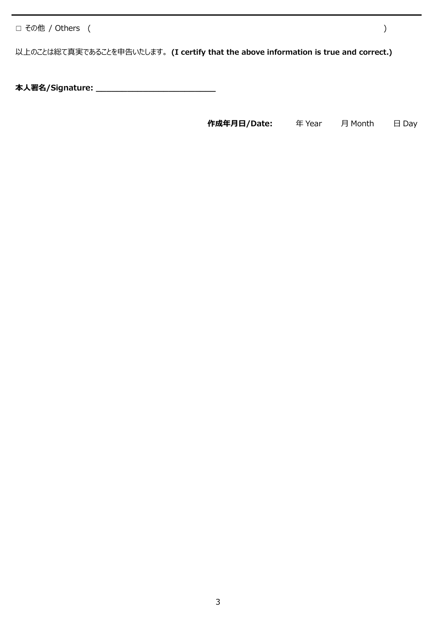☐ その他 / Others ( )

以上のことは総て真実であることを申告いたします。 **(I certify that the above information is true and correct.)**

**本人署名/Signature: \_\_\_\_\_\_\_\_\_\_\_\_\_\_\_\_\_\_\_\_\_\_\_**

 **作成年月日/Date:** 年 Year 月 Month 日 Day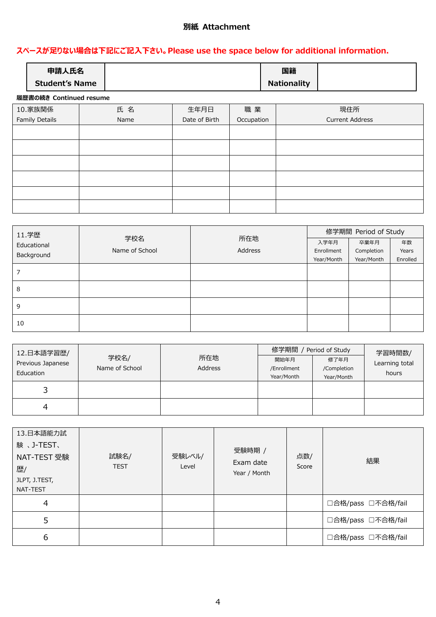#### **別紙 Attachment**

#### **スペースが足りない場合は下記にご記入下さい。Please use the space below for additional information.**

| 申請人氏名<br><b>Student's Name</b> |  | 国籍<br><b>Nationality</b> |  |  |  |  |
|--------------------------------|--|--------------------------|--|--|--|--|
|                                |  |                          |  |  |  |  |
| 履歴書の続き Continued resume        |  |                          |  |  |  |  |

### 10.家族関係 Family Details 氏 名 Name 生年月日 Date of Birth 職 業 **Occupation** 現住所 Current Address

| 11.学歴       |                |         | 修学期間 Period of Study |            |          |  |
|-------------|----------------|---------|----------------------|------------|----------|--|
| Educational | 学校名            | 所在地     | 入学年月                 | 卒業年月       | 年数       |  |
| Background  | Name of School | Address | Enrollment           | Completion | Years    |  |
|             |                |         | Year/Month           | Year/Month | Enrolled |  |
|             |                |         |                      |            |          |  |
| 8           |                |         |                      |            |          |  |
| 9           |                |         |                      |            |          |  |
| 10          |                |         |                      |            |          |  |

| 12.日本語学習歴/<br>Previous Japanese<br>Education | 学校名/<br>Name of School | 所在地<br>Address | 修学期間 / Period of Study<br>開始年月<br>/Enrollment<br>Year/Month | 修了年月<br>/Completion<br>Year/Month | 学習時間数/<br>Learning total<br>hours |
|----------------------------------------------|------------------------|----------------|-------------------------------------------------------------|-----------------------------------|-----------------------------------|
| 3                                            |                        |                |                                                             |                                   |                                   |
|                                              |                        |                |                                                             |                                   |                                   |

| 13.日本語能力試<br>験、J-TEST、<br>NAT-TEST 受験<br>歴/<br>JLPT, J.TEST,<br>NAT-TEST | 試験名/<br><b>TEST</b> | 受験レベル/<br>Level | 受験時期 /<br>Exam date<br>Year / Month | 点数/<br>Score | 結果                 |
|--------------------------------------------------------------------------|---------------------|-----------------|-------------------------------------|--------------|--------------------|
| 4                                                                        |                     |                 |                                     |              | □合格/pass □不合格/fail |
| 5                                                                        |                     |                 |                                     |              | □合格/pass □不合格/fail |
| 6                                                                        |                     |                 |                                     |              | □合格/pass □不合格/fail |